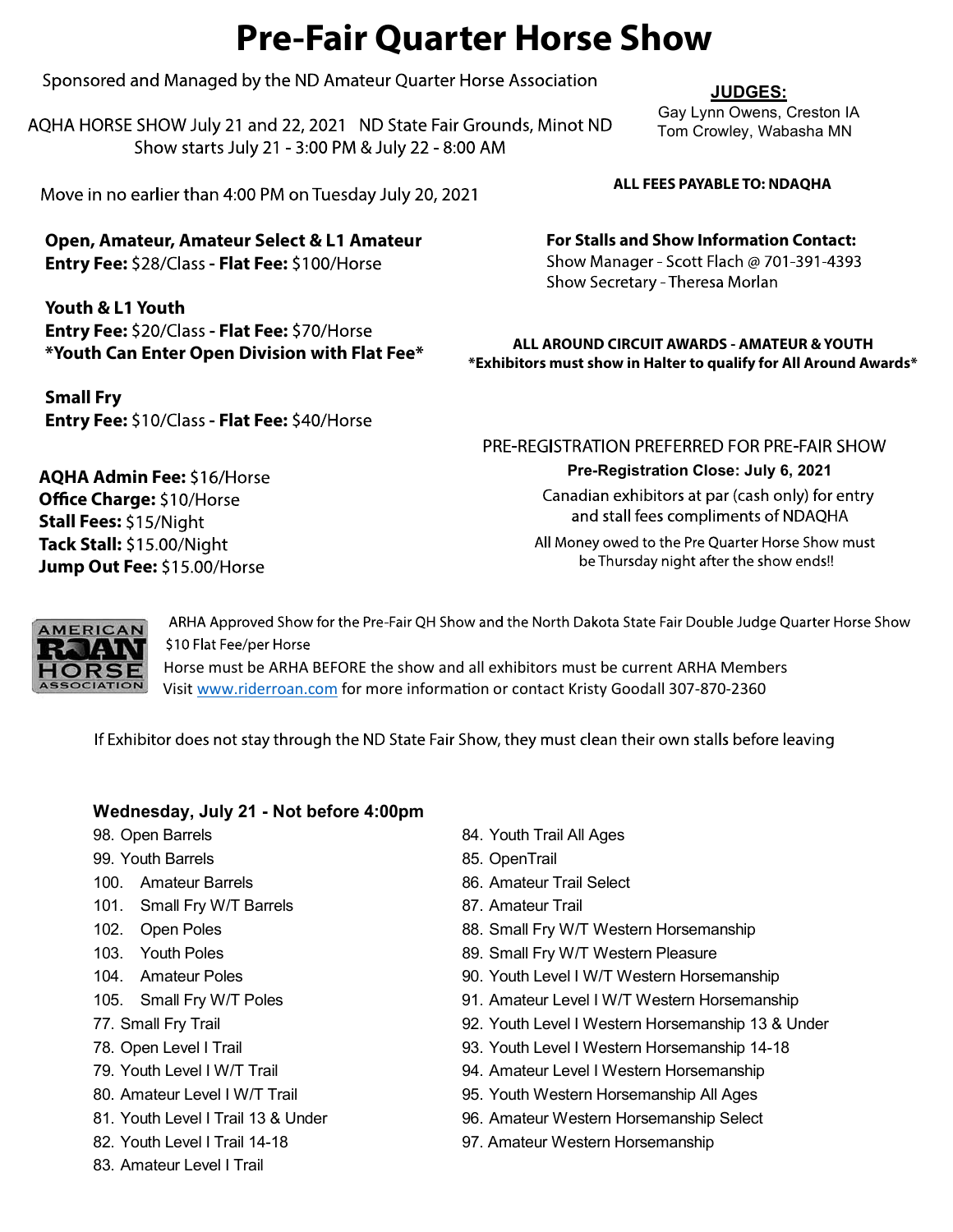# Pre-Fair Quarter Horse Show

Sponsored and Managed by the ND Amateur Quarter Horse Association

AQHA HORSE SHOW July 21 and 22, 2021 ND State Fair Grounds, Minot ND Show starts July 21 - 3:00 PM & July 22 - 8:00 AM

Move in no earlier than 4:00 PM on Tuesday July 20, 2021

Open, Amateur, Amateur Select & L1 Amateur Entry Fee: \$28/Class - Flat Fee: \$100/Horse

Youth & L1 Youth Entry Fee: \$20/Class - Flat Fee: \$70/Horse \*Youth Can Enter Open Division with Flat Fee\*

Small Fry Entry Fee: \$10/Class - Flat Fee: \$40/Horse Tom Crowley, Wabasha MN

For Stalls and Show Information Contact: Show Manager - Scott Flach @ 701-391-4393 Show Secretary - Theresa Morlan

ALL AROUND CIRCUIT AWARDS - AMATEUR & YOUTH \*Exhibitors must show in Halter to qualify for All Around Awards\*

**Jump Out Fee:** \$15.00/I AQHA Admin Fee: \$16/Horse Office Charge: \$10/Horse Stall Fees: \$15/Night Tack Stall: \$15.00/Night

# Pre-Registration Close: July 6, 2021



**Fee:** \$10/Class - **Flat Fee:** \$40/Horse<br> **PRE-REGISTRATION PREFERRED FOR PRE-FAIR SHOT<br>
<b>Admin Fee:** \$16/Horse<br> **Charge:** \$10/Horse<br> **Charge:** \$10/Horse<br> **Charge:** \$10/Horse<br> **CAN Contempts of NDAQHA**<br> **All Money ower to** 

Horse must be ARHA BEFORE the show and all exhibitors must be current ARHA Members Visit www.riderroan.com for more information or contact Kristy Goodall 307-870-2360

- 
- 99. Youth Barrels 85. OpenTrail
- 
- 101. Small Fry W/T Barrels 87. Amateur Trail
- 
- 
- 
- 
- 
- 
- 
- 
- 
- 
- 83. Amateur Level I Trail
- 98. Open Barrels **84. Youth Trail All Ages** 
	-
- 100. Amateur Barrels **86. Amateur Trail Select** 
	-
- 102. Open Poles **88. Small Fry W/T Western Horsemanship**
- 103. Youth Poles **89. Small Fry W/T Western Pleasure**
- 104. Amateur Poles 90. Youth Level I W/T Western Horsemanship
- 105. Small Fry W/T Poles 91. Amateur Level I W/T Western Horsemanship
- 77. Small Fry Trail 92. Youth Level I Western Horsemanship 13 & Under
- 78. Open Level I Trail 93. Youth Level I Western Horsemanship 14-18
- 79. Youth Level I W/T Trail 94. Amateur Level I Western Horsemanship
- 80. Amateur Level I W/T Trail 1995. Youth Western Horsemanship All Ages
- 81. Youth Level I Trail 13 & Under 96. Amateur Western Horsemanship Select
- 82. Youth Level I Trail 14-18 97. Amateur Western Horsemanship

### JUDGES: Gay Lynn Owens, Creston IA

ALL FEES PAYABLE TO: NDAQHA